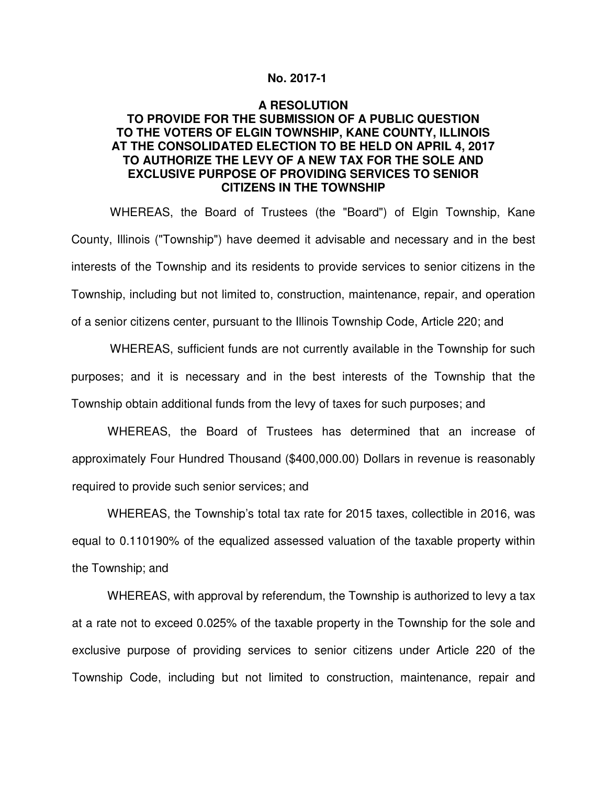#### **No. 2017-1**

### **A RESOLUTION TO PROVIDE FOR THE SUBMISSION OF A PUBLIC QUESTION TO THE VOTERS OF ELGIN TOWNSHIP, KANE COUNTY, ILLINOIS AT THE CONSOLIDATED ELECTION TO BE HELD ON APRIL 4, 2017 TO AUTHORIZE THE LEVY OF A NEW TAX FOR THE SOLE AND EXCLUSIVE PURPOSE OF PROVIDING SERVICES TO SENIOR CITIZENS IN THE TOWNSHIP**

WHEREAS, the Board of Trustees (the "Board") of Elgin Township, Kane County, Illinois ("Township") have deemed it advisable and necessary and in the best interests of the Township and its residents to provide services to senior citizens in the Township, including but not limited to, construction, maintenance, repair, and operation of a senior citizens center, pursuant to the Illinois Township Code, Article 220; and

WHEREAS, sufficient funds are not currently available in the Township for such purposes; and it is necessary and in the best interests of the Township that the Township obtain additional funds from the levy of taxes for such purposes; and

WHEREAS, the Board of Trustees has determined that an increase of approximately Four Hundred Thousand (\$400,000.00) Dollars in revenue is reasonably required to provide such senior services; and

WHEREAS, the Township's total tax rate for 2015 taxes, collectible in 2016, was equal to 0.110190% of the equalized assessed valuation of the taxable property within the Township; and

WHEREAS, with approval by referendum, the Township is authorized to levy a tax at a rate not to exceed 0.025% of the taxable property in the Township for the sole and exclusive purpose of providing services to senior citizens under Article 220 of the Township Code, including but not limited to construction, maintenance, repair and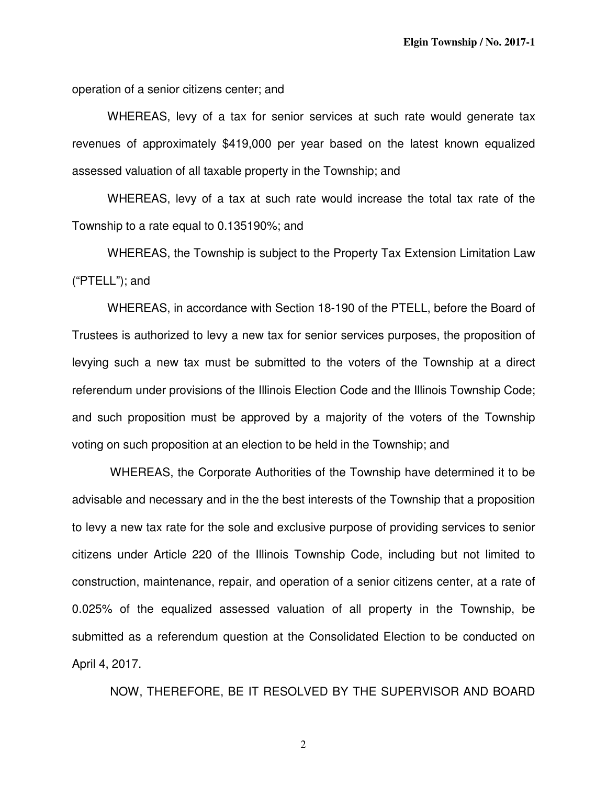operation of a senior citizens center; and

WHEREAS, levy of a tax for senior services at such rate would generate tax revenues of approximately \$419,000 per year based on the latest known equalized assessed valuation of all taxable property in the Township; and

WHEREAS, levy of a tax at such rate would increase the total tax rate of the Township to a rate equal to 0.135190%; and

WHEREAS, the Township is subject to the Property Tax Extension Limitation Law ("PTELL"); and

WHEREAS, in accordance with Section 18-190 of the PTELL, before the Board of Trustees is authorized to levy a new tax for senior services purposes, the proposition of levying such a new tax must be submitted to the voters of the Township at a direct referendum under provisions of the Illinois Election Code and the Illinois Township Code; and such proposition must be approved by a majority of the voters of the Township voting on such proposition at an election to be held in the Township; and

WHEREAS, the Corporate Authorities of the Township have determined it to be advisable and necessary and in the the best interests of the Township that a proposition to levy a new tax rate for the sole and exclusive purpose of providing services to senior citizens under Article 220 of the Illinois Township Code, including but not limited to construction, maintenance, repair, and operation of a senior citizens center, at a rate of 0.025% of the equalized assessed valuation of all property in the Township, be submitted as a referendum question at the Consolidated Election to be conducted on April 4, 2017.

NOW, THEREFORE, BE IT RESOLVED BY THE SUPERVISOR AND BOARD

2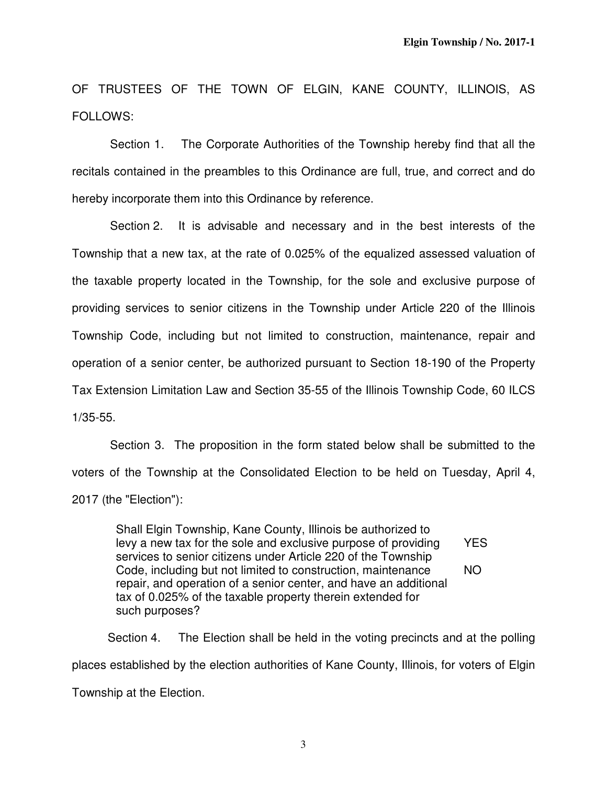OF TRUSTEES OF THE TOWN OF ELGIN, KANE COUNTY, ILLINOIS, AS FOLLOWS:

Section 1. The Corporate Authorities of the Township hereby find that all the recitals contained in the preambles to this Ordinance are full, true, and correct and do hereby incorporate them into this Ordinance by reference.

Section 2. It is advisable and necessary and in the best interests of the Township that a new tax, at the rate of 0.025% of the equalized assessed valuation of the taxable property located in the Township, for the sole and exclusive purpose of providing services to senior citizens in the Township under Article 220 of the Illinois Township Code, including but not limited to construction, maintenance, repair and operation of a senior center, be authorized pursuant to Section 18-190 of the Property Tax Extension Limitation Law and Section 35-55 of the Illinois Township Code, 60 ILCS 1/35-55.

Section 3. The proposition in the form stated below shall be submitted to the voters of the Township at the Consolidated Election to be held on Tuesday, April 4, 2017 (the "Election"):

Shall Elgin Township, Kane County, Illinois be authorized to levy a new tax for the sole and exclusive purpose of providing YES services to senior citizens under Article 220 of the Township Code, including but not limited to construction, maintenance NO repair, and operation of a senior center, and have an additional tax of 0.025% of the taxable property therein extended for such purposes?

Section 4. The Election shall be held in the voting precincts and at the polling places established by the election authorities of Kane County, Illinois, for voters of Elgin Township at the Election.

3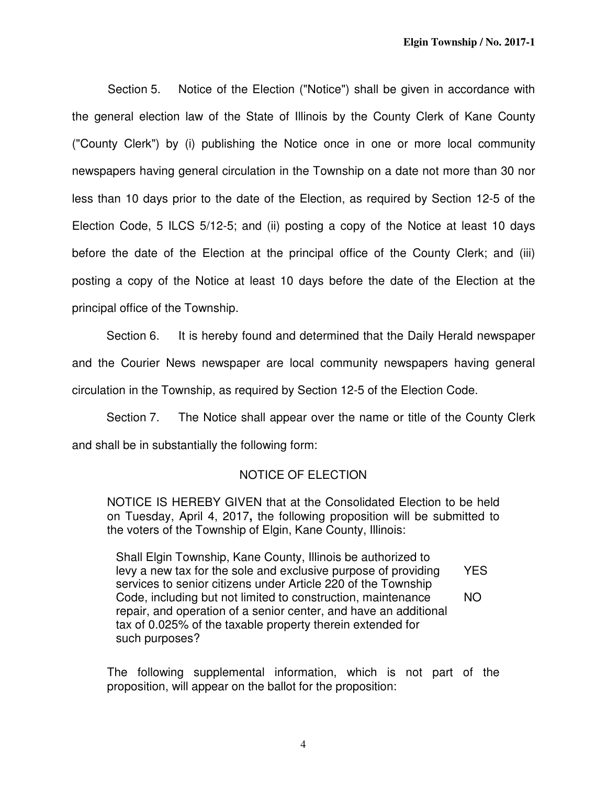Section 5. Notice of the Election ("Notice") shall be given in accordance with the general election law of the State of Illinois by the County Clerk of Kane County ("County Clerk") by (i) publishing the Notice once in one or more local community newspapers having general circulation in the Township on a date not more than 30 nor less than 10 days prior to the date of the Election, as required by Section 12-5 of the Election Code, 5 ILCS 5/12-5; and (ii) posting a copy of the Notice at least 10 days before the date of the Election at the principal office of the County Clerk; and (iii) posting a copy of the Notice at least 10 days before the date of the Election at the principal office of the Township.

Section 6. It is hereby found and determined that the Daily Herald newspaper and the Courier News newspaper are local community newspapers having general circulation in the Township, as required by Section 12-5 of the Election Code.

Section 7. The Notice shall appear over the name or title of the County Clerk and shall be in substantially the following form:

## NOTICE OF ELECTION

NOTICE IS HEREBY GIVEN that at the Consolidated Election to be held on Tuesday, April 4, 2017**,** the following proposition will be submitted to the voters of the Township of Elgin, Kane County, Illinois:

Shall Elgin Township, Kane County, Illinois be authorized to levy a new tax for the sole and exclusive purpose of providing YES services to senior citizens under Article 220 of the Township Code, including but not limited to construction, maintenance NO repair, and operation of a senior center, and have an additional tax of 0.025% of the taxable property therein extended for such purposes?

The following supplemental information, which is not part of the proposition, will appear on the ballot for the proposition: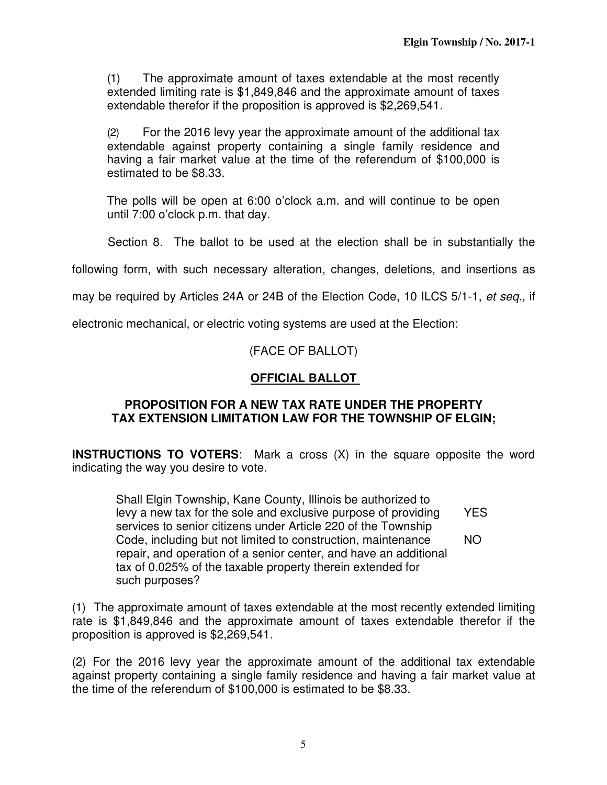(1) The approximate amount of taxes extendable at the most recently extended limiting rate is \$1,849,846 and the approximate amount of taxes extendable therefor if the proposition is approved is \$2,269,541.

(2) For the 2016 levy year the approximate amount of the additional tax extendable against property containing a single family residence and having a fair market value at the time of the referendum of \$100,000 is estimated to be \$8.33.

The polls will be open at 6:00 o'clock a.m. and will continue to be open until 7:00 o'clock p.m. that day.

Section 8. The ballot to be used at the election shall be in substantially the

following form, with such necessary alteration, changes, deletions, and insertions as

may be required by Articles 24A or 24B of the Election Code, 10 ILCS 5/1-1, et seq., if

electronic mechanical, or electric voting systems are used at the Election:

# (FACE OF BALLOT)

# **OFFICIAL BALLOT**

## **PROPOSITION FOR A NEW TAX RATE UNDER THE PROPERTY TAX EXTENSION LIMITATION LAW FOR THE TOWNSHIP OF ELGIN;**

**INSTRUCTIONS TO VOTERS:** Mark a cross (X) in the square opposite the word indicating the way you desire to vote.

Shall Elgin Township, Kane County, Illinois be authorized to levy a new tax for the sole and exclusive purpose of providing YES services to senior citizens under Article 220 of the Township Code, including but not limited to construction, maintenance NO repair, and operation of a senior center, and have an additional tax of 0.025% of the taxable property therein extended for such purposes?

(1) The approximate amount of taxes extendable at the most recently extended limiting rate is \$1,849,846 and the approximate amount of taxes extendable therefor if the proposition is approved is \$2,269,541.

(2) For the 2016 levy year the approximate amount of the additional tax extendable against property containing a single family residence and having a fair market value at the time of the referendum of \$100,000 is estimated to be \$8.33.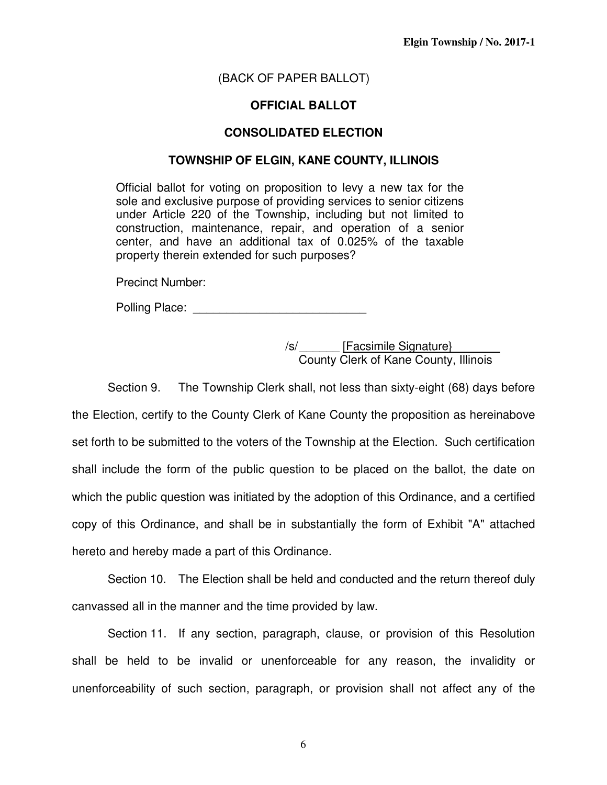# (BACK OF PAPER BALLOT)

# **OFFICIAL BALLOT**

# **CONSOLIDATED ELECTION**

### **TOWNSHIP OF ELGIN, KANE COUNTY, ILLINOIS**

Official ballot for voting on proposition to levy a new tax for the sole and exclusive purpose of providing services to senior citizens under Article 220 of the Township, including but not limited to construction, maintenance, repair, and operation of a senior center, and have an additional tax of 0.025% of the taxable property therein extended for such purposes?

Precinct Number:

Polling Place: \_\_\_\_\_\_\_\_\_\_\_\_\_\_\_\_\_\_\_\_\_\_\_\_\_\_

/s/ \_\_\_\_\_\_ [Facsimile Signature} County Clerk of Kane County, Illinois

Section 9. The Township Clerk shall, not less than sixty-eight (68) days before the Election, certify to the County Clerk of Kane County the proposition as hereinabove set forth to be submitted to the voters of the Township at the Election. Such certification shall include the form of the public question to be placed on the ballot, the date on which the public question was initiated by the adoption of this Ordinance, and a certified copy of this Ordinance, and shall be in substantially the form of Exhibit "A" attached hereto and hereby made a part of this Ordinance.

Section 10. The Election shall be held and conducted and the return thereof duly canvassed all in the manner and the time provided by law.

Section 11. If any section, paragraph, clause, or provision of this Resolution shall be held to be invalid or unenforceable for any reason, the invalidity or unenforceability of such section, paragraph, or provision shall not affect any of the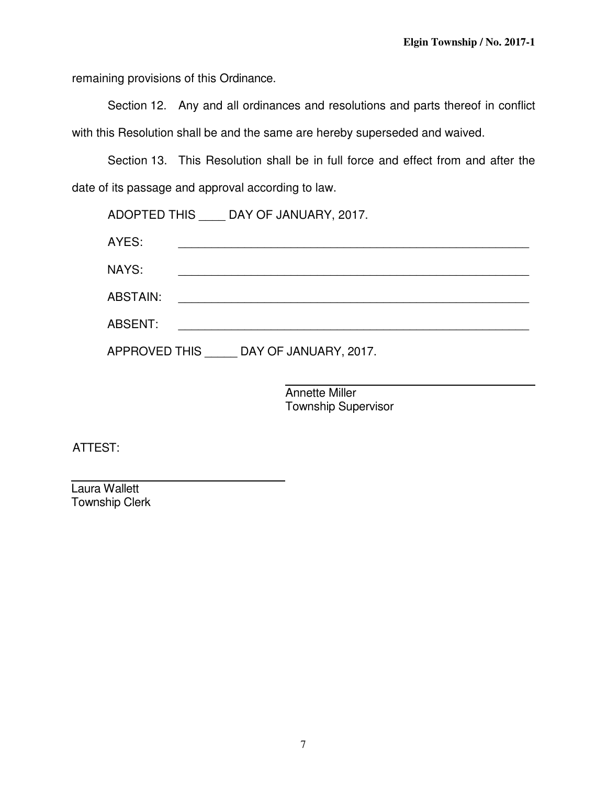remaining provisions of this Ordinance.

Section 12. Any and all ordinances and resolutions and parts thereof in conflict with this Resolution shall be and the same are hereby superseded and waived.

Section 13. This Resolution shall be in full force and effect from and after the date of its passage and approval according to law.

|                                        | ADOPTED THIS DAY OF JANUARY, 2017. |
|----------------------------------------|------------------------------------|
| AYES:                                  |                                    |
| NAYS:                                  |                                    |
| <b>ABSTAIN:</b>                        |                                    |
| ABSENT:                                |                                    |
| APPROVED THIS<br>DAY OF JANUARY, 2017. |                                    |

 Annette Miller Township Supervisor

ATTEST:

 $\ddot{\phantom{a}}$ Laura Wallett Township Clerk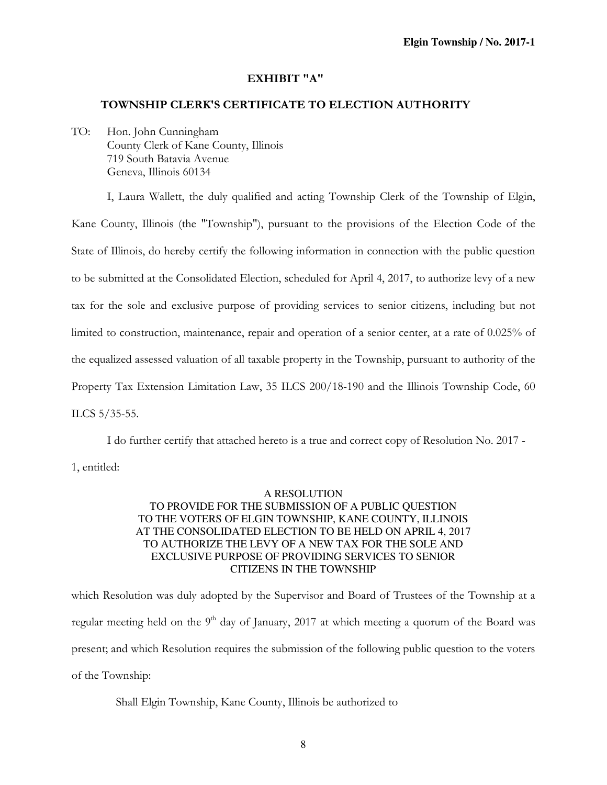# EXHIBIT "A"

## TOWNSHIP CLERK'S CERTIFICATE TO ELECTION AUTHORITY

TO: : Hon. John Cunningham County Clerk of Kane County, Illinois 719 South Batavia Avenue Geneva, Illinois 60134

I, Laura Wallett, the duly qualified and acting Township Clerk of the Township of Elgin, Kane County, Illinois (the "Township"), pursuant to the provisions of the Election Code of the State of Illinois, do hereby certify the following information in connection with the public question to be submitted at the Consolidated Election, scheduled for April 4, 2017, to authorize levy of a new tax for the sole and exclusive purpose of providing services to senior citizens, including but not limited to construction, maintenance, repair and operation of a senior center, at a rate of 0.025% of the equalized assessed valuation of all taxable property in the Township, pursuant to authority of the Property Tax Extension Limitation Law, 35 ILCS 200/18-190 and the Illinois Township Code, 60 ILCS  $5/35-55$ .

I do further certify that attached hereto is a true and correct copy of Resolution No. 2017 -

1, entitled:

#### A RESOLUTION TO PROVIDE FOR THE SUBMISSION OF A PUBLIC QUESTION TO THE VOTERS OF ELGIN TOWNSHIP, KANE COUNTY, ILLINOIS AT THE CONSOLIDATED ELECTION TO BE HELD ON APRIL 4, 2017 TO AUTHORIZE THE LEVY OF A NEW TAX FOR THE SOLE AND EXCLUSIVE PURPOSE OF PROVIDING SERVICES TO SENIOR CITIZENS IN THE TOWNSHIP

which Resolution was duly adopted by the Supervisor and Board of Trustees of the Township at a regular meeting held on the 9<sup>th</sup> day of January, 2017 at which meeting a quorum of the Board was present; and which Resolution requires the submission of the following public question to the voters of the Township:

Shall Elgin Township, Kane County, Illinois be authorized to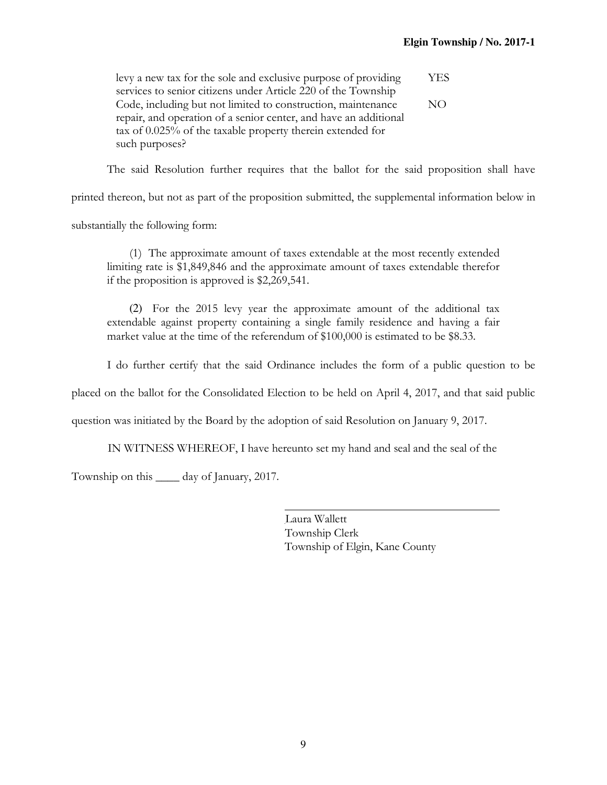levy a new tax for the sole and exclusive purpose of providing **YES** services to senior citizens under Article 220 of the Township Code, including but not limited to construction, maintenance  $NO$ repair, and operation of a senior center, and have an additional tax of 0.025% of the taxable property therein extended for such purposes?

The said Resolution further requires that the ballot for the said proposition shall have

printed thereon, but not as part of the proposition submitted, the supplemental information below in

substantially the following form:

(1) The approximate amount of taxes extendable at the most recently extended limiting rate is \$1,849,846 and the approximate amount of taxes extendable therefor if the proposition is approved is  $$2,269,541$ .

(2) For the 2015 levy year the approximate amount of the additional tax extendable against property containing a single family residence and having a fair market value at the time of the referendum of \$100,000 is estimated to be \$8.33.

I do further certify that the said Ordinance includes the form of a public question to be

placed on the ballot for the Consolidated Election to be held on April 4, 2017, and that said public

question was initiated by the Board by the adoption of said Resolution on January 9, 2017.

IN WITNESS WHEREOF, I have hereunto set my hand and seal and the seal of the

Township on this \_\_\_\_\_ day of January, 2017.

Laura Wallett Township Clerk Township of Elgin, Kane County